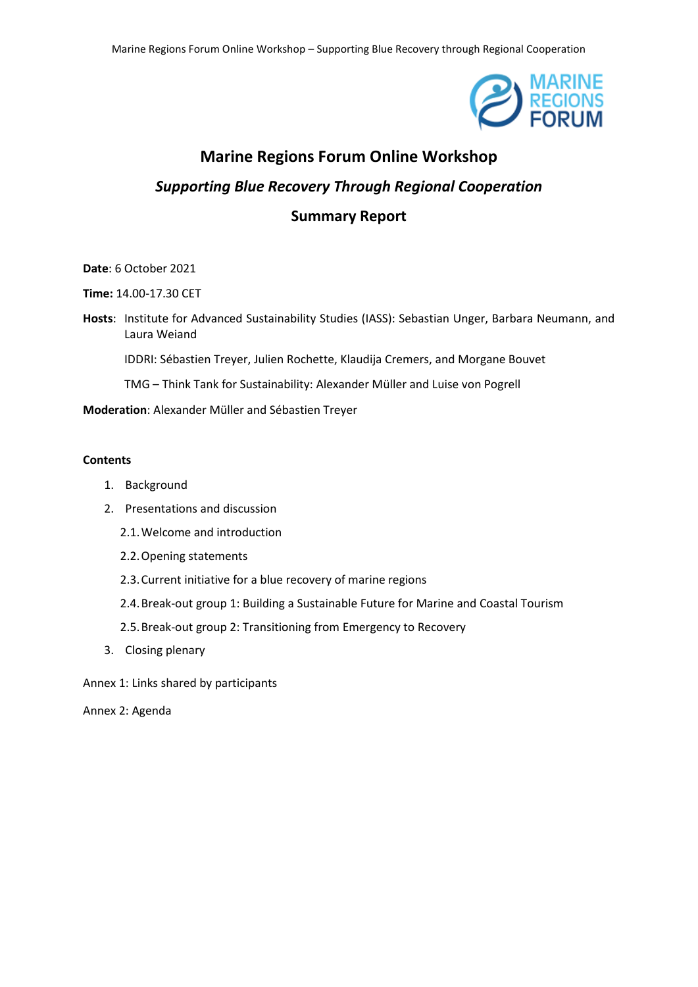

# **Marine Regions Forum Online Workshop** *Supporting Blue Recovery Through Regional Cooperation* **Summary Report**

## **Date**: 6 October 2021

**Time:** 14.00-17.30 CET

**Hosts**: Institute for Advanced Sustainability Studies (IASS): Sebastian Unger, Barbara Neumann, and Laura Weiand

IDDRI: Sébastien Treyer, Julien Rochette, Klaudija Cremers, and Morgane Bouvet

TMG – Think Tank for Sustainability: Alexander Müller and Luise von Pogrell

**Moderation**: Alexander Müller and Sébastien Treyer

#### **Contents**

- 1. Background
- 2. Presentations and discussion
	- 2.1.Welcome and introduction
	- 2.2.Opening statements
	- 2.3.Current initiative for a blue recovery of marine regions
	- 2.4.Break-out group 1: Building a Sustainable Future for Marine and Coastal Tourism
	- 2.5.Break-out group 2: Transitioning from Emergency to Recovery
- 3. Closing plenary
- Annex 1: Links shared by participants

Annex 2: Agenda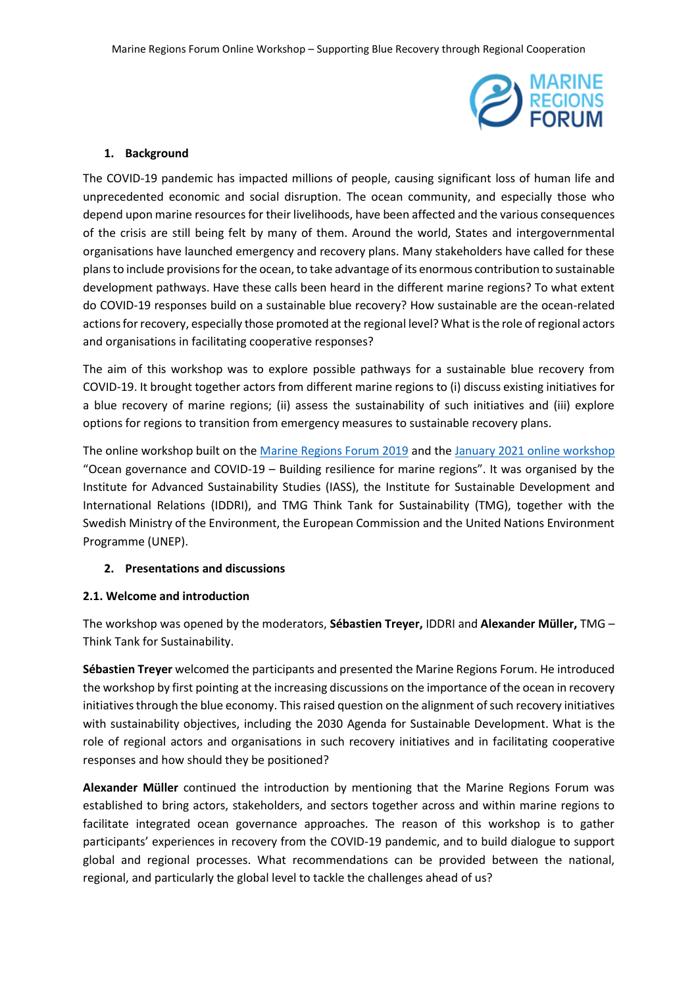

# **1. Background**

The COVID-19 pandemic has impacted millions of people, causing significant loss of human life and unprecedented economic and social disruption. The ocean community, and especially those who depend upon marine resources for their livelihoods, have been affected and the various consequences of the crisis are still being felt by many of them. Around the world, States and intergovernmental organisations have launched emergency and recovery plans. Many stakeholders have called for these plans to include provisions for the ocean, to take advantage of its enormous contribution to sustainable development pathways. Have these calls been heard in the different marine regions? To what extent do COVID-19 responses build on a sustainable blue recovery? How sustainable are the ocean-related actions for recovery, especially those promoted at the regional level? What is the role of regional actors and organisations in facilitating cooperative responses?

The aim of this workshop was to explore possible pathways for a sustainable blue recovery from COVID-19. It brought together actors from different marine regions to (i) discuss existing initiatives for a blue recovery of marine regions; (ii) assess the sustainability of such initiatives and (iii) explore options for regions to transition from emergency measures to sustainable recovery plans.

The online workshop built on the [Marine Regions Forum 2019](https://www.prog-ocean.org/marine-regions-forum/conferences/conference-2019/) and the [January 2021 online workshop](https://www.prog-ocean.org/marine-regions-forum/2020/11/26/online-workshop-on-ocean-governance-and-covid-19-building-resilience-for-marine-regions/) "Ocean governance and COVID-19 – Building resilience for marine regions". It was organised by the Institute for Advanced Sustainability Studies (IASS), the Institute for Sustainable Development and International Relations (IDDRI), and TMG Think Tank for Sustainability (TMG), together with the Swedish Ministry of the Environment, the European Commission and the United Nations Environment Programme (UNEP).

# **2. Presentations and discussions**

# **2.1. Welcome and introduction**

The workshop was opened by the moderators, **Sébastien Treyer,** IDDRI and **Alexander Müller,** TMG – Think Tank for Sustainability.

**Sébastien Treyer** welcomed the participants and presented the Marine Regions Forum. He introduced the workshop by first pointing at the increasing discussions on the importance of the ocean in recovery initiatives through the blue economy. This raised question on the alignment of such recovery initiatives with sustainability objectives, including the 2030 Agenda for Sustainable Development. What is the role of regional actors and organisations in such recovery initiatives and in facilitating cooperative responses and how should they be positioned?

**Alexander Müller** continued the introduction by mentioning that the Marine Regions Forum was established to bring actors, stakeholders, and sectors together across and within marine regions to facilitate integrated ocean governance approaches. The reason of this workshop is to gather participants' experiences in recovery from the COVID-19 pandemic, and to build dialogue to support global and regional processes. What recommendations can be provided between the national, regional, and particularly the global level to tackle the challenges ahead of us?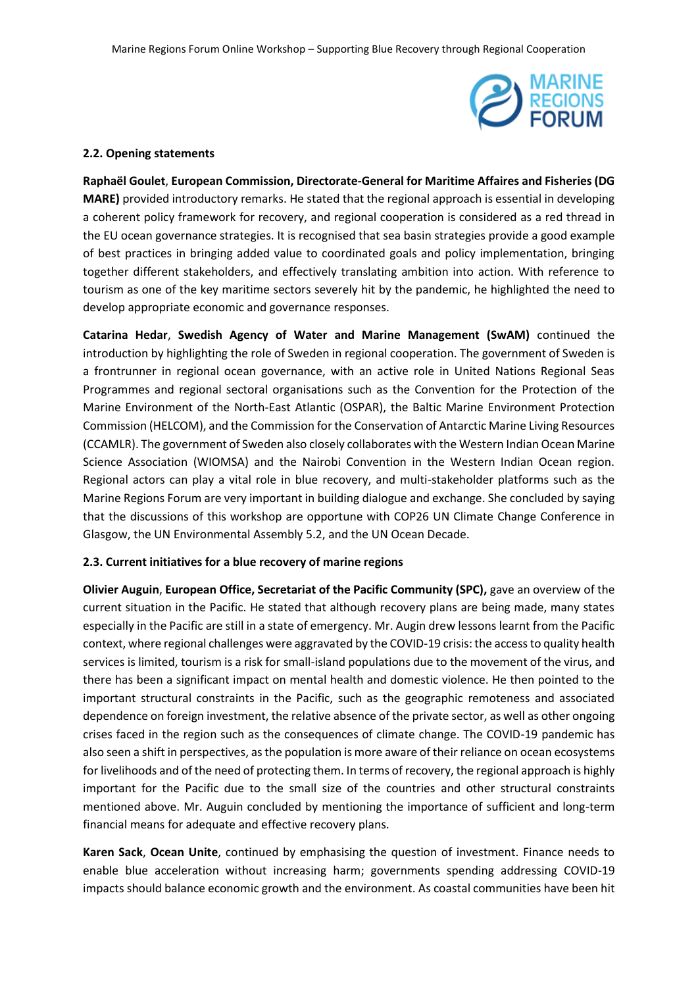

#### **2.2. Opening statements**

**Raphaël Goulet**, **European Commission, Directorate-General for Maritime Affaires and Fisheries (DG MARE)** provided introductory remarks. He stated that the regional approach is essential in developing a coherent policy framework for recovery, and regional cooperation is considered as a red thread in the EU ocean governance strategies. It is recognised that sea basin strategies provide a good example of best practices in bringing added value to coordinated goals and policy implementation, bringing together different stakeholders, and effectively translating ambition into action. With reference to tourism as one of the key maritime sectors severely hit by the pandemic, he highlighted the need to develop appropriate economic and governance responses.

**Catarina Hedar**, **Swedish Agency of Water and Marine Management (SwAM)** continued the introduction by highlighting the role of Sweden in regional cooperation. The government of Sweden is a frontrunner in regional ocean governance, with an active role in United Nations Regional Seas Programmes and regional sectoral organisations such as the Convention for the Protection of the Marine Environment of the North-East Atlantic (OSPAR), the Baltic Marine Environment Protection Commission (HELCOM), and the Commission for the Conservation of Antarctic Marine Living Resources (CCAMLR). The government of Sweden also closely collaborates with the Western Indian Ocean Marine Science Association (WIOMSA) and the Nairobi Convention in the Western Indian Ocean region. Regional actors can play a vital role in blue recovery, and multi-stakeholder platforms such as the Marine Regions Forum are very important in building dialogue and exchange. She concluded by saying that the discussions of this workshop are opportune with COP26 UN Climate Change Conference in Glasgow, the UN Environmental Assembly 5.2, and the UN Ocean Decade.

### **2.3. Current initiatives for a blue recovery of marine regions**

**Olivier Auguin**, **European Office, Secretariat of the Pacific Community (SPC),** gave an overview of the current situation in the Pacific. He stated that although recovery plans are being made, many states especially in the Pacific are still in a state of emergency. Mr. Augin drew lessons learnt from the Pacific context, where regional challenges were aggravated by the COVID-19 crisis: the access to quality health services is limited, tourism is a risk for small-island populations due to the movement of the virus, and there has been a significant impact on mental health and domestic violence. He then pointed to the important structural constraints in the Pacific, such as the geographic remoteness and associated dependence on foreign investment, the relative absence of the private sector, as well as other ongoing crises faced in the region such as the consequences of climate change. The COVID-19 pandemic has also seen a shift in perspectives, as the population is more aware of their reliance on ocean ecosystems for livelihoods and of the need of protecting them. In terms of recovery, the regional approach is highly important for the Pacific due to the small size of the countries and other structural constraints mentioned above. Mr. Auguin concluded by mentioning the importance of sufficient and long-term financial means for adequate and effective recovery plans.

**Karen Sack**, **Ocean Unite**, continued by emphasising the question of investment. Finance needs to enable blue acceleration without increasing harm; governments spending addressing COVID-19 impacts should balance economic growth and the environment. As coastal communities have been hit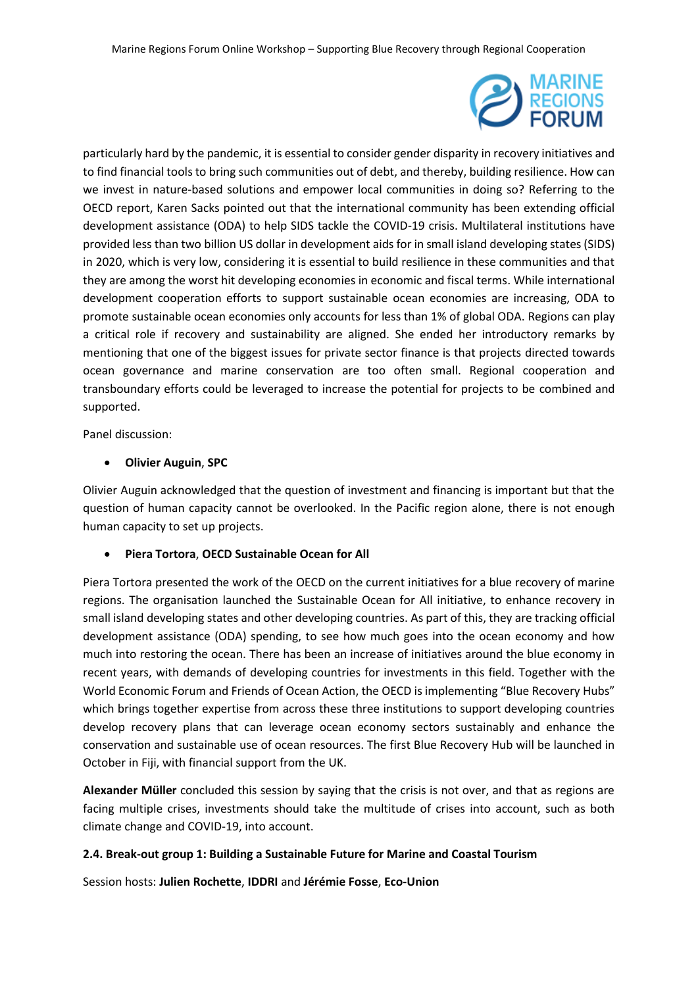

particularly hard by the pandemic, it is essential to consider gender disparity in recovery initiatives and to find financial tools to bring such communities out of debt, and thereby, building resilience. How can we invest in nature-based solutions and empower local communities in doing so? Referring to the OECD report, Karen Sacks pointed out that the international community has been extending official development assistance (ODA) to help SIDS tackle the COVID-19 crisis. Multilateral institutions have provided less than two billion US dollar in development aids for in small island developing states (SIDS) in 2020, which is very low, considering it is essential to build resilience in these communities and that they are among the worst hit developing economies in economic and fiscal terms. While international development cooperation efforts to support sustainable ocean economies are increasing, ODA to promote sustainable ocean economies only accounts for less than 1% of global ODA. Regions can play a critical role if recovery and sustainability are aligned. She ended her introductory remarks by mentioning that one of the biggest issues for private sector finance is that projects directed towards ocean governance and marine conservation are too often small. Regional cooperation and transboundary efforts could be leveraged to increase the potential for projects to be combined and supported.

Panel discussion:

# **Olivier Auguin**, **SPC**

Olivier Auguin acknowledged that the question of investment and financing is important but that the question of human capacity cannot be overlooked. In the Pacific region alone, there is not enough human capacity to set up projects.

# **Piera Tortora**, **OECD Sustainable Ocean for All**

Piera Tortora presented the work of the OECD on the current initiatives for a blue recovery of marine regions. The organisation launched the Sustainable Ocean for All initiative, to enhance recovery in small island developing states and other developing countries. As part of this, they are tracking official development assistance (ODA) spending, to see how much goes into the ocean economy and how much into restoring the ocean. There has been an increase of initiatives around the blue economy in recent years, with demands of developing countries for investments in this field. Together with the World Economic Forum and Friends of Ocean Action, the OECD is implementing "Blue Recovery Hubs" which brings together expertise from across these three institutions to support developing countries develop recovery plans that can leverage ocean economy sectors sustainably and enhance the conservation and sustainable use of ocean resources. The first Blue Recovery Hub will be launched in October in Fiji, with financial support from the UK.

**Alexander Müller** concluded this session by saying that the crisis is not over, and that as regions are facing multiple crises, investments should take the multitude of crises into account, such as both climate change and COVID-19, into account.

# **2.4. Break-out group 1: Building a Sustainable Future for Marine and Coastal Tourism**

Session hosts: **Julien Rochette**, **IDDRI** and **Jérémie Fosse**, **Eco-Union**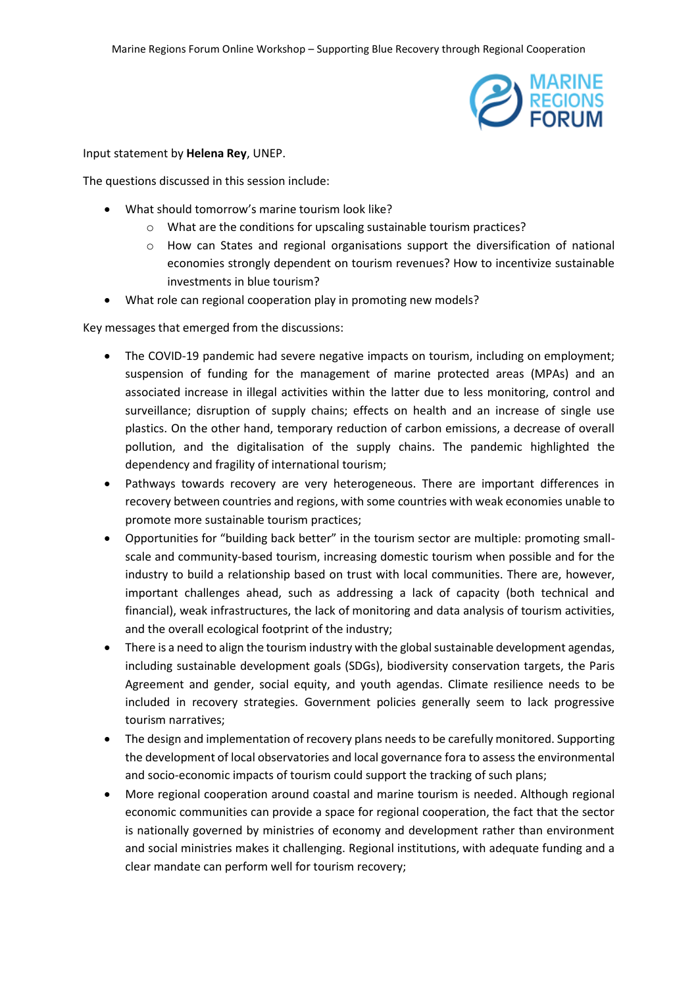

#### Input statement by **Helena Rey**, UNEP.

The questions discussed in this session include:

- What should tomorrow's marine tourism look like?
	- o What are the conditions for upscaling sustainable tourism practices?
	- o How can States and regional organisations support the diversification of national economies strongly dependent on tourism revenues? How to incentivize sustainable investments in blue tourism?
- What role can regional cooperation play in promoting new models?

Key messages that emerged from the discussions:

- The COVID-19 pandemic had severe negative impacts on tourism, including on employment; suspension of funding for the management of marine protected areas (MPAs) and an associated increase in illegal activities within the latter due to less monitoring, control and surveillance; disruption of supply chains; effects on health and an increase of single use plastics. On the other hand, temporary reduction of carbon emissions, a decrease of overall pollution, and the digitalisation of the supply chains. The pandemic highlighted the dependency and fragility of international tourism;
- Pathways towards recovery are very heterogeneous. There are important differences in recovery between countries and regions, with some countries with weak economies unable to promote more sustainable tourism practices;
- Opportunities for "building back better" in the tourism sector are multiple: promoting smallscale and community-based tourism, increasing domestic tourism when possible and for the industry to build a relationship based on trust with local communities. There are, however, important challenges ahead, such as addressing a lack of capacity (both technical and financial), weak infrastructures, the lack of monitoring and data analysis of tourism activities, and the overall ecological footprint of the industry;
- There is a need to align the tourism industry with the global sustainable development agendas, including sustainable development goals (SDGs), biodiversity conservation targets, the Paris Agreement and gender, social equity, and youth agendas. Climate resilience needs to be included in recovery strategies. Government policies generally seem to lack progressive tourism narratives;
- The design and implementation of recovery plans needs to be carefully monitored. Supporting the development of local observatories and local governance fora to assess the environmental and socio-economic impacts of tourism could support the tracking of such plans;
- More regional cooperation around coastal and marine tourism is needed. Although regional economic communities can provide a space for regional cooperation, the fact that the sector is nationally governed by ministries of economy and development rather than environment and social ministries makes it challenging. Regional institutions, with adequate funding and a clear mandate can perform well for tourism recovery;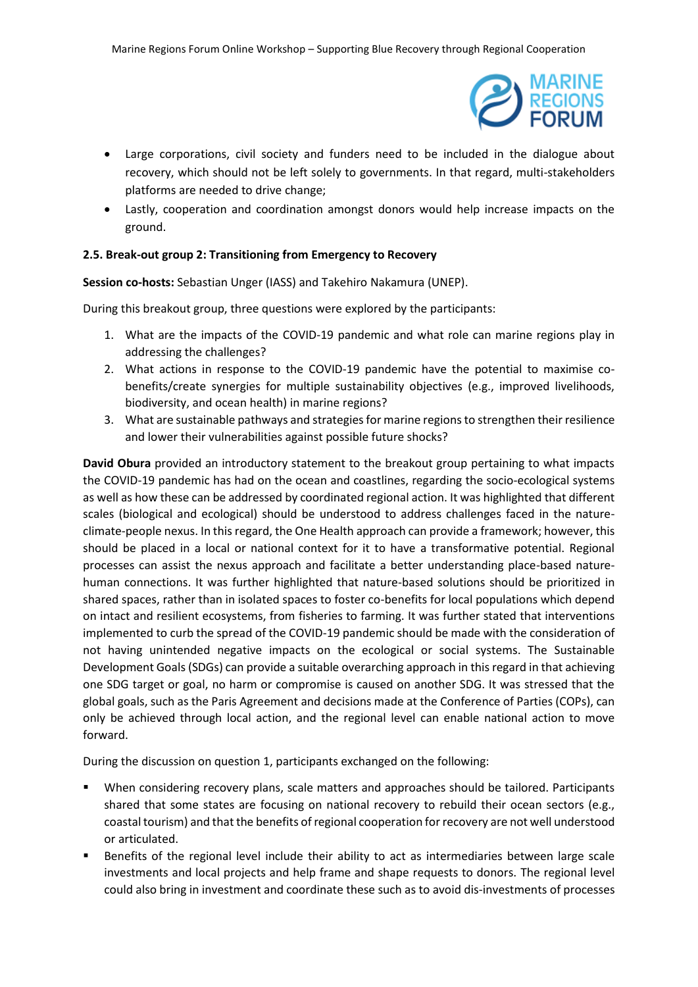

- Large corporations, civil society and funders need to be included in the dialogue about recovery, which should not be left solely to governments. In that regard, multi-stakeholders platforms are needed to drive change;
- Lastly, cooperation and coordination amongst donors would help increase impacts on the ground.

## **2.5. Break-out group 2: Transitioning from Emergency to Recovery**

**Session co-hosts:** Sebastian Unger (IASS) and Takehiro Nakamura (UNEP).

During this breakout group, three questions were explored by the participants:

- 1. What are the impacts of the COVID-19 pandemic and what role can marine regions play in addressing the challenges?
- 2. What actions in response to the COVID-19 pandemic have the potential to maximise cobenefits/create synergies for multiple sustainability objectives (e.g., improved livelihoods, biodiversity, and ocean health) in marine regions?
- 3. What are sustainable pathways and strategies for marine regions to strengthen their resilience and lower their vulnerabilities against possible future shocks?

**David Obura** provided an introductory statement to the breakout group pertaining to what impacts the COVID-19 pandemic has had on the ocean and coastlines, regarding the socio-ecological systems as well as how these can be addressed by coordinated regional action. It was highlighted that different scales (biological and ecological) should be understood to address challenges faced in the natureclimate-people nexus. In this regard, the One Health approach can provide a framework; however, this should be placed in a local or national context for it to have a transformative potential. Regional processes can assist the nexus approach and facilitate a better understanding place-based naturehuman connections. It was further highlighted that nature-based solutions should be prioritized in shared spaces, rather than in isolated spaces to foster co-benefits for local populations which depend on intact and resilient ecosystems, from fisheries to farming. It was further stated that interventions implemented to curb the spread of the COVID-19 pandemic should be made with the consideration of not having unintended negative impacts on the ecological or social systems. The Sustainable Development Goals (SDGs) can provide a suitable overarching approach in this regard in that achieving one SDG target or goal, no harm or compromise is caused on another SDG. It was stressed that the global goals, such as the Paris Agreement and decisions made at the Conference of Parties (COPs), can only be achieved through local action, and the regional level can enable national action to move forward.

During the discussion on question 1, participants exchanged on the following:

- When considering recovery plans, scale matters and approaches should be tailored. Participants shared that some states are focusing on national recovery to rebuild their ocean sectors (e.g., coastal tourism) and that the benefits of regional cooperation for recovery are not well understood or articulated.
- Benefits of the regional level include their ability to act as intermediaries between large scale investments and local projects and help frame and shape requests to donors. The regional level could also bring in investment and coordinate these such as to avoid dis-investments of processes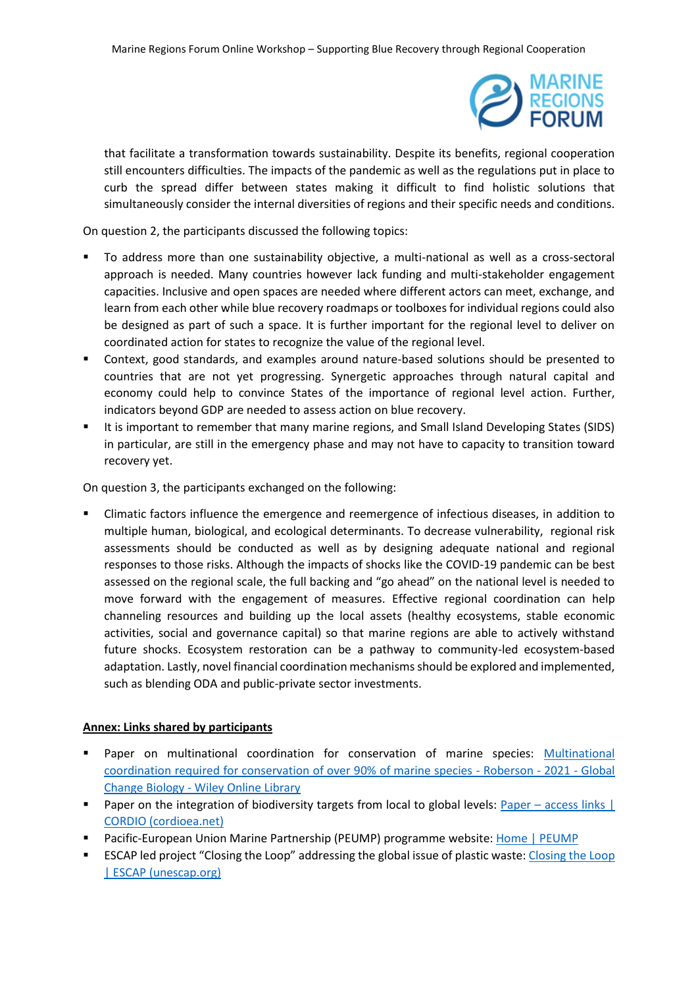

that facilitate a transformation towards sustainability. Despite its benefits, regional cooperation still encounters difficulties. The impacts of the pandemic as well as the regulations put in place to curb the spread differ between states making it difficult to find holistic solutions that simultaneously consider the internal diversities of regions and their specific needs and conditions.

On question 2, the participants discussed the following topics:

- To address more than one sustainability objective, a multi-national as well as a cross-sectoral approach is needed. Many countries however lack funding and multi-stakeholder engagement capacities. Inclusive and open spaces are needed where different actors can meet, exchange, and learn from each other while blue recovery roadmaps or toolboxes for individual regions could also be designed as part of such a space. It is further important for the regional level to deliver on coordinated action for states to recognize the value of the regional level.
- Context, good standards, and examples around nature-based solutions should be presented to countries that are not yet progressing. Synergetic approaches through natural capital and economy could help to convince States of the importance of regional level action. Further, indicators beyond GDP are needed to assess action on blue recovery.
- It is important to remember that many marine regions, and Small Island Developing States (SIDS) in particular, are still in the emergency phase and may not have to capacity to transition toward recovery yet.

On question 3, the participants exchanged on the following:

 Climatic factors influence the emergence and reemergence of infectious diseases, in addition to multiple human, biological, and ecological determinants. To decrease vulnerability, regional risk assessments should be conducted as well as by designing adequate national and regional responses to those risks. Although the impacts of shocks like the COVID-19 pandemic can be best assessed on the regional scale, the full backing and "go ahead" on the national level is needed to move forward with the engagement of measures. Effective regional coordination can help channeling resources and building up the local assets (healthy ecosystems, stable economic activities, social and governance capital) so that marine regions are able to actively withstand future shocks. Ecosystem restoration can be a pathway to community-led ecosystem-based adaptation. Lastly, novel financial coordination mechanisms should be explored and implemented, such as blending ODA and public-private sector investments.

# **Annex: Links shared by participants**

- Paper on multinational coordination for conservation of marine species: [Multinational](https://onlinelibrary.wiley.com/doi/full/10.1111/gcb.15844)  [coordination required for conservation of over 90% of marine species -](https://onlinelibrary.wiley.com/doi/full/10.1111/gcb.15844) Roberson - 2021 - Global Change Biology - [Wiley Online Library](https://onlinelibrary.wiley.com/doi/full/10.1111/gcb.15844)
- Paper on the integration of biodiversity targets from local to global levels: Paper access links | [CORDIO \(cordioea.net\)](https://cordioea.net/shared-earth-shared-ocean/paper/)
- **Pacific-European Union Marine Partnership (PEUMP) programme website: [Home | PEUMP](https://peump.dev/)**
- ESCAP led project "Closing the Loop" addressing the global issue of plastic waste: [Closing the Loop](https://www.unescap.org/projects/ctl)  [| ESCAP \(unescap.org\)](https://www.unescap.org/projects/ctl)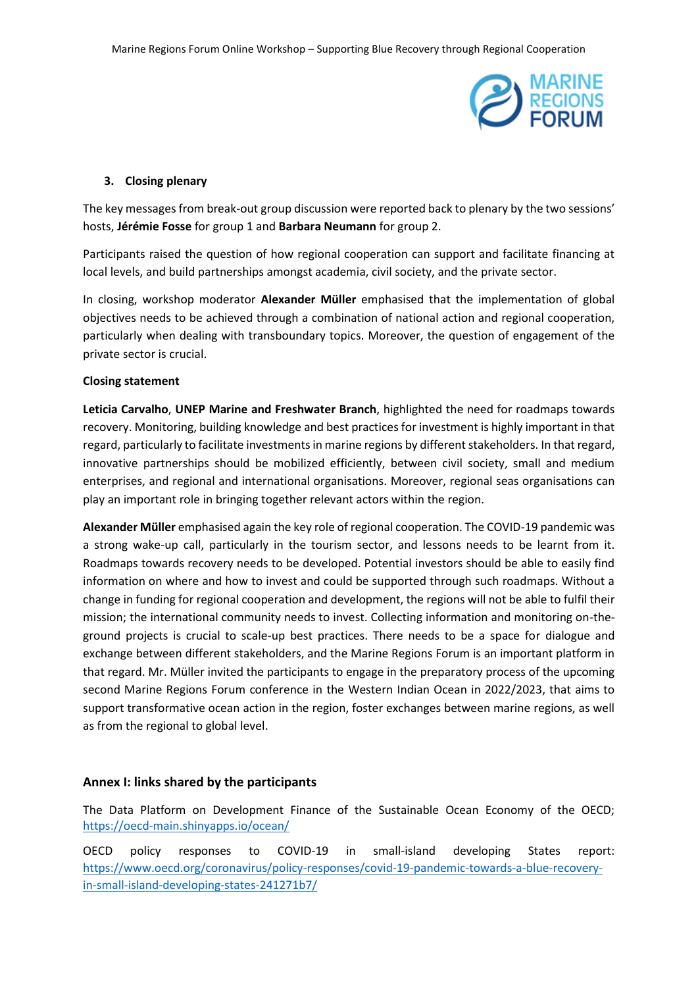

## **3. Closing plenary**

The key messages from break-out group discussion were reported back to plenary by the two sessions' hosts, **Jérémie Fosse** for group 1 and **Barbara Neumann** for group 2.

Participants raised the question of how regional cooperation can support and facilitate financing at local levels, and build partnerships amongst academia, civil society, and the private sector.

In closing, workshop moderator **Alexander Müller** emphasised that the implementation of global objectives needs to be achieved through a combination of national action and regional cooperation, particularly when dealing with transboundary topics. Moreover, the question of engagement of the private sector is crucial.

## **Closing statement**

**Leticia Carvalho**, **UNEP Marine and Freshwater Branch**, highlighted the need for roadmaps towards recovery. Monitoring, building knowledge and best practices for investment is highly important in that regard, particularly to facilitate investments in marine regions by different stakeholders. In that regard, innovative partnerships should be mobilized efficiently, between civil society, small and medium enterprises, and regional and international organisations. Moreover, regional seas organisations can play an important role in bringing together relevant actors within the region.

**Alexander Müller** emphasised again the key role of regional cooperation. The COVID-19 pandemic was a strong wake-up call, particularly in the tourism sector, and lessons needs to be learnt from it. Roadmaps towards recovery needs to be developed. Potential investors should be able to easily find information on where and how to invest and could be supported through such roadmaps. Without a change in funding for regional cooperation and development, the regions will not be able to fulfil their mission; the international community needs to invest. Collecting information and monitoring on-theground projects is crucial to scale-up best practices. There needs to be a space for dialogue and exchange between different stakeholders, and the Marine Regions Forum is an important platform in that regard. Mr. Müller invited the participants to engage in the preparatory process of the upcoming second Marine Regions Forum conference in the Western Indian Ocean in 2022/2023, that aims to support transformative ocean action in the region, foster exchanges between marine regions, as well as from the regional to global level.

# **Annex I: links shared by the participants**

The Data Platform on Development Finance of the Sustainable Ocean Economy of the OECD; <https://oecd-main.shinyapps.io/ocean/>

OECD policy responses to COVID-19 in small-island developing States report: [https://www.oecd.org/coronavirus/policy-responses/covid-19-pandemic-towards-a-blue-recovery](https://www.oecd.org/coronavirus/policy-responses/covid-19-pandemic-towards-a-blue-recovery-in-small-island-developing-states-241271b7/)[in-small-island-developing-states-241271b7/](https://www.oecd.org/coronavirus/policy-responses/covid-19-pandemic-towards-a-blue-recovery-in-small-island-developing-states-241271b7/)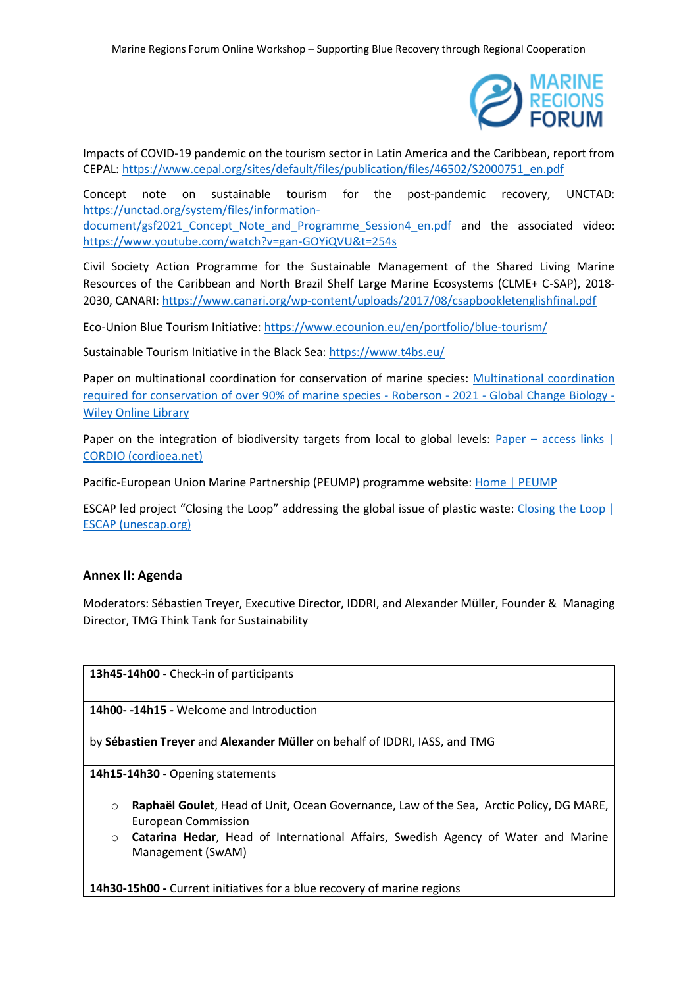

Impacts of COVID-19 pandemic on the tourism sector in Latin America and the Caribbean, report from CEPAL: [https://www.cepal.org/sites/default/files/publication/files/46502/S2000751\\_en.pdf](https://www.cepal.org/sites/default/files/publication/files/46502/S2000751_en.pdf)

Concept note on sustainable tourism for the post-pandemic recovery, UNCTAD: [https://unctad.org/system/files/information](https://unctad.org/system/files/information-document/gsf2021_Concept_Note_and_Programme_Session4_en.pdf)document/gsf2021 Concept Note and Programme Session4 en.pdf and the associated video: <https://www.youtube.com/watch?v=gan-GOYiQVU&t=254s>

Civil Society Action Programme for the Sustainable Management of the Shared Living Marine Resources of the Caribbean and North Brazil Shelf Large Marine Ecosystems (CLME+ C-SAP), 2018- 2030, CANARI:<https://www.canari.org/wp-content/uploads/2017/08/csapbookletenglishfinal.pdf>

Eco-Union Blue Tourism Initiative:<https://www.ecounion.eu/en/portfolio/blue-tourism/>

Sustainable Tourism Initiative in the Black Sea[: https://www.t4bs.eu/](https://www.t4bs.eu/)

Paper on multinational coordination for conservation of marine species: [Multinational coordination](https://onlinelibrary.wiley.com/doi/full/10.1111/gcb.15844)  [required for conservation of over 90% of marine species -](https://onlinelibrary.wiley.com/doi/full/10.1111/gcb.15844) Roberson - 2021 - Global Change Biology - [Wiley Online Library](https://onlinelibrary.wiley.com/doi/full/10.1111/gcb.15844)

Paper on the integration of biodiversity targets from local to global levels: Paper – access links | [CORDIO \(cordioea.net\)](https://cordioea.net/shared-earth-shared-ocean/paper/)

Pacific-European Union Marine Partnership (PEUMP) programme website: [Home | PEUMP](https://peump.dev/)

ESCAP led project "Closing the Loop" addressing the global issue of plastic waste: [Closing the Loop |](https://www.unescap.org/projects/ctl)  [ESCAP \(unescap.org\)](https://www.unescap.org/projects/ctl)

# **Annex II: Agenda**

Moderators: Sébastien Treyer, Executive Director, IDDRI, and Alexander Müller, Founder & Managing Director, TMG Think Tank for Sustainability

**13h45-14h00 -** Check-in of participants

**14h00- -14h15 -** Welcome and Introduction

by **Sébastien Treyer** and **Alexander Müller** on behalf of IDDRI, IASS, and TMG

**14h15-14h30 -** Opening statements

- o **Raphaël Goulet**, Head of Unit, Ocean Governance, Law of the Sea, Arctic Policy, DG MARE, European Commission
- o **Catarina Hedar**, Head of International Affairs, Swedish Agency of Water and Marine Management (SwAM)

**14h30-15h00 -** Current initiatives for a blue recovery of marine regions